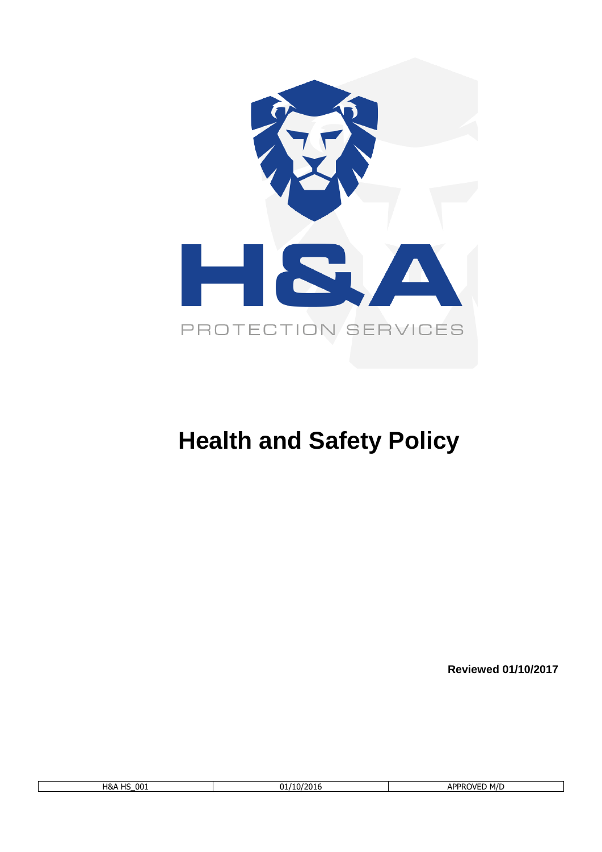

# **Health and Safety Policy**

**Reviewed 01/10/2017**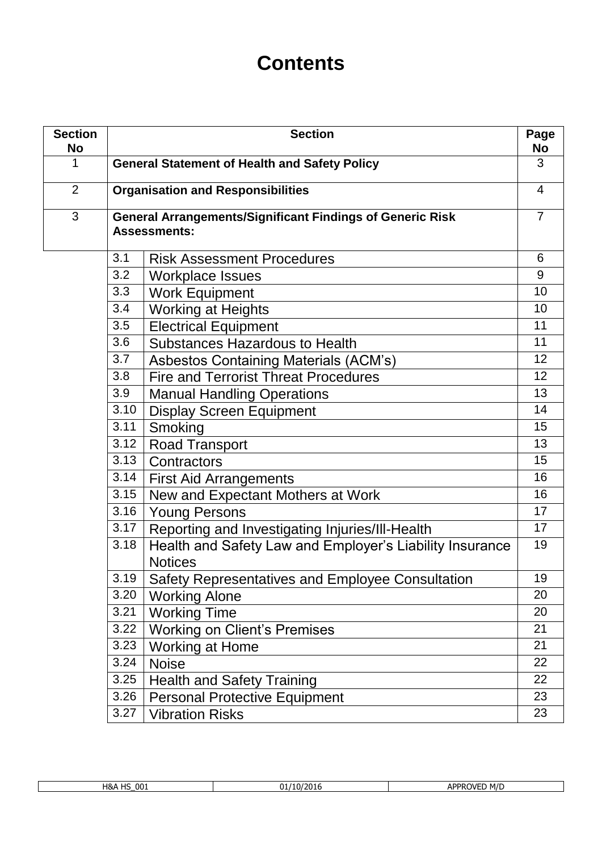# **Contents**

| <b>Section</b><br>No | <b>Section</b><br>Page                               |                                                                                         |                |  |
|----------------------|------------------------------------------------------|-----------------------------------------------------------------------------------------|----------------|--|
| 1                    | <b>General Statement of Health and Safety Policy</b> |                                                                                         |                |  |
| $\overline{2}$       | <b>Organisation and Responsibilities</b>             |                                                                                         |                |  |
| 3                    |                                                      | <b>General Arrangements/Significant Findings of Generic Risk</b><br><b>Assessments:</b> | $\overline{7}$ |  |
|                      | 3.1                                                  | <b>Risk Assessment Procedures</b>                                                       | 6              |  |
|                      | 3.2                                                  | <b>Workplace Issues</b>                                                                 | 9              |  |
|                      | 3.3                                                  | <b>Work Equipment</b>                                                                   | 10             |  |
|                      | 3.4                                                  | <b>Working at Heights</b>                                                               | 10             |  |
|                      | 3.5                                                  | <b>Electrical Equipment</b>                                                             | 11             |  |
|                      | 3.6                                                  | Substances Hazardous to Health                                                          | 11             |  |
|                      | 3.7                                                  | Asbestos Containing Materials (ACM's)                                                   | 12             |  |
|                      | 3.8                                                  | <b>Fire and Terrorist Threat Procedures</b>                                             | 12             |  |
|                      | 3.9                                                  | <b>Manual Handling Operations</b>                                                       | 13             |  |
|                      | 3.10                                                 | <b>Display Screen Equipment</b>                                                         | 14             |  |
|                      | 3.11                                                 | Smoking                                                                                 | 15             |  |
|                      | 3.12                                                 | <b>Road Transport</b>                                                                   | 13             |  |
|                      | 3.13                                                 | Contractors                                                                             | 15             |  |
|                      | 3.14                                                 | <b>First Aid Arrangements</b>                                                           | 16             |  |
|                      | 3.15                                                 | New and Expectant Mothers at Work                                                       | 16             |  |
|                      | 3.16                                                 | <b>Young Persons</b>                                                                    | 17             |  |
|                      | 3.17                                                 | Reporting and Investigating Injuries/III-Health                                         | 17             |  |
|                      | 3.18                                                 | Health and Safety Law and Employer's Liability Insurance                                | 19             |  |
|                      |                                                      | <b>Notices</b>                                                                          |                |  |
|                      | 3.19                                                 | Safety Representatives and Employee Consultation                                        | 19             |  |
|                      | 3.20                                                 | <b>Working Alone</b>                                                                    | 20             |  |
|                      | 3.21                                                 | <b>Working Time</b>                                                                     | 20             |  |
|                      | 3.22                                                 | <b>Working on Client's Premises</b>                                                     | 21             |  |
|                      | 3.23                                                 | Working at Home                                                                         | 21             |  |
|                      | 3.24                                                 | <b>Noise</b>                                                                            | 22             |  |
|                      | 3.25                                                 | <b>Health and Safety Training</b>                                                       | 22             |  |
|                      | 3.26                                                 | <b>Personal Protective Equipment</b>                                                    | 23             |  |
|                      | 3.27                                                 | <b>Vibration Risks</b>                                                                  | 23             |  |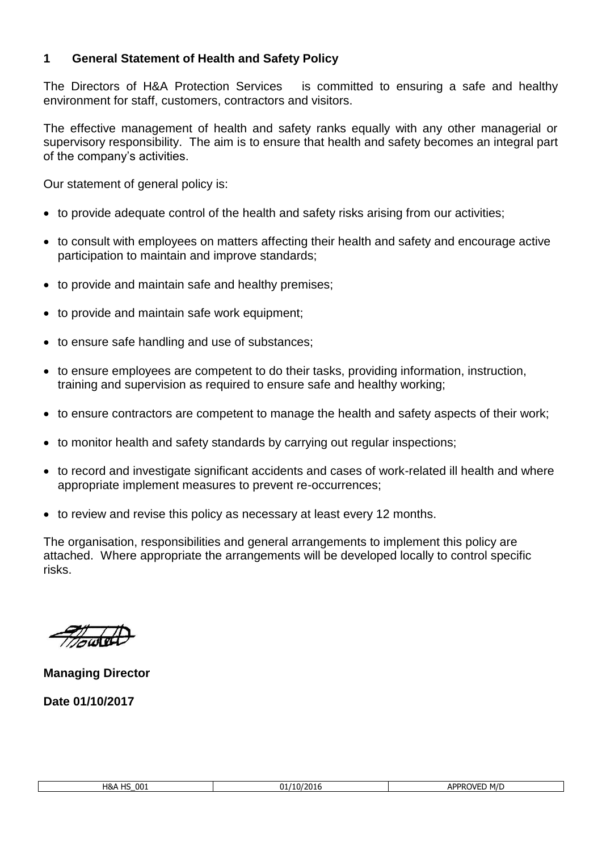# **1 General Statement of Health and Safety Policy**

The Directors of H&A Protection Services is committed to ensuring a safe and healthy environment for staff, customers, contractors and visitors.

The effective management of health and safety ranks equally with any other managerial or supervisory responsibility. The aim is to ensure that health and safety becomes an integral part of the company's activities.

Our statement of general policy is:

- to provide adequate control of the health and safety risks arising from our activities;
- to consult with employees on matters affecting their health and safety and encourage active participation to maintain and improve standards;
- to provide and maintain safe and healthy premises;
- to provide and maintain safe work equipment;
- to ensure safe handling and use of substances;
- to ensure employees are competent to do their tasks, providing information, instruction, training and supervision as required to ensure safe and healthy working;
- to ensure contractors are competent to manage the health and safety aspects of their work;
- to monitor health and safety standards by carrying out regular inspections;
- to record and investigate significant accidents and cases of work-related ill health and where appropriate implement measures to prevent re-occurrences;
- to review and revise this policy as necessary at least every 12 months.

The organisation, responsibilities and general arrangements to implement this policy are attached. Where appropriate the arrangements will be developed locally to control specific risks.

**Managing Director**

**Date 01/10/2017**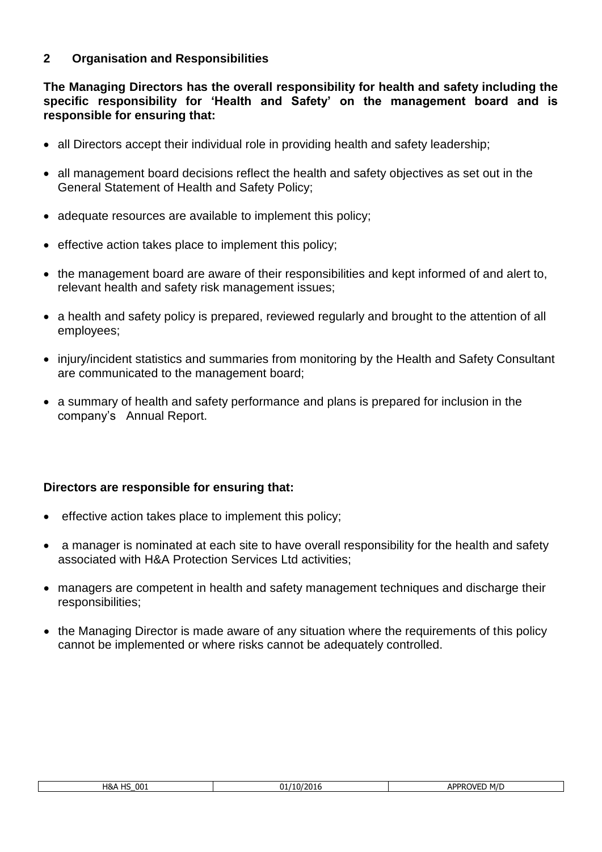# **2 Organisation and Responsibilities**

**The Managing Directors has the overall responsibility for health and safety including the specific responsibility for 'Health and Safety' on the management board and is responsible for ensuring that:**

- all Directors accept their individual role in providing health and safety leadership;
- all management board decisions reflect the health and safety objectives as set out in the General Statement of Health and Safety Policy;
- adequate resources are available to implement this policy;
- effective action takes place to implement this policy;
- the management board are aware of their responsibilities and kept informed of and alert to, relevant health and safety risk management issues;
- a health and safety policy is prepared, reviewed regularly and brought to the attention of all employees;
- injury/incident statistics and summaries from monitoring by the Health and Safety Consultant are communicated to the management board;
- a summary of health and safety performance and plans is prepared for inclusion in the company's Annual Report.

#### **Directors are responsible for ensuring that:**

- effective action takes place to implement this policy;
- a manager is nominated at each site to have overall responsibility for the health and safety associated with H&A Protection Services Ltd activities;
- managers are competent in health and safety management techniques and discharge their responsibilities;
- the Managing Director is made aware of any situation where the requirements of this policy cannot be implemented or where risks cannot be adequately controlled.

| <b>H&amp;A HS 001</b> |  |
|-----------------------|--|
|                       |  |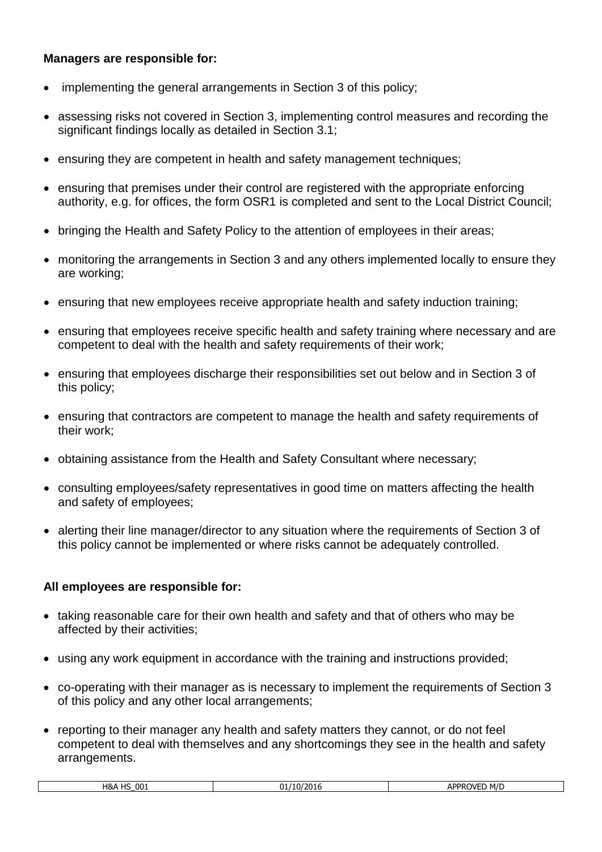#### **Managers are responsible for:**

- implementing the general arrangements in Section 3 of this policy;
- assessing risks not covered in Section 3, implementing control measures and recording the significant findings locally as detailed in Section 3.1;
- ensuring they are competent in health and safety management techniques;
- ensuring that premises under their control are registered with the appropriate enforcing authority, e.g. for offices, the form OSR1 is completed and sent to the Local District Council;
- bringing the Health and Safety Policy to the attention of employees in their areas;
- monitoring the arrangements in Section 3 and any others implemented locally to ensure they are working;
- ensuring that new employees receive appropriate health and safety induction training;
- ensuring that employees receive specific health and safety training where necessary and are competent to deal with the health and safety requirements of their work;
- ensuring that employees discharge their responsibilities set out below and in Section 3 of this policy;
- ensuring that contractors are competent to manage the health and safety requirements of their work;
- obtaining assistance from the Health and Safety Consultant where necessary;
- consulting employees/safety representatives in good time on matters affecting the health and safety of employees;
- alerting their line manager/director to any situation where the requirements of Section 3 of this policy cannot be implemented or where risks cannot be adequately controlled.

# **All employees are responsible for:**

- taking reasonable care for their own health and safety and that of others who may be affected by their activities;
- using any work equipment in accordance with the training and instructions provided;
- co-operating with their manager as is necessary to implement the requirements of Section 3 of this policy and any other local arrangements;
- reporting to their manager any health and safety matters they cannot, or do not feel competent to deal with themselves and any shortcomings they see in the health and safety arrangements.

| 001<br>10<br>חו ו<br>עאד<br>ان ا | -<br>וחר<br>'ZUI t<br>$\mathbf{u}$ | <b>∆PPR∩VF</b> F<br>d m/c<br>ור<br>$\overline{\phantom{a}}$ |
|----------------------------------|------------------------------------|-------------------------------------------------------------|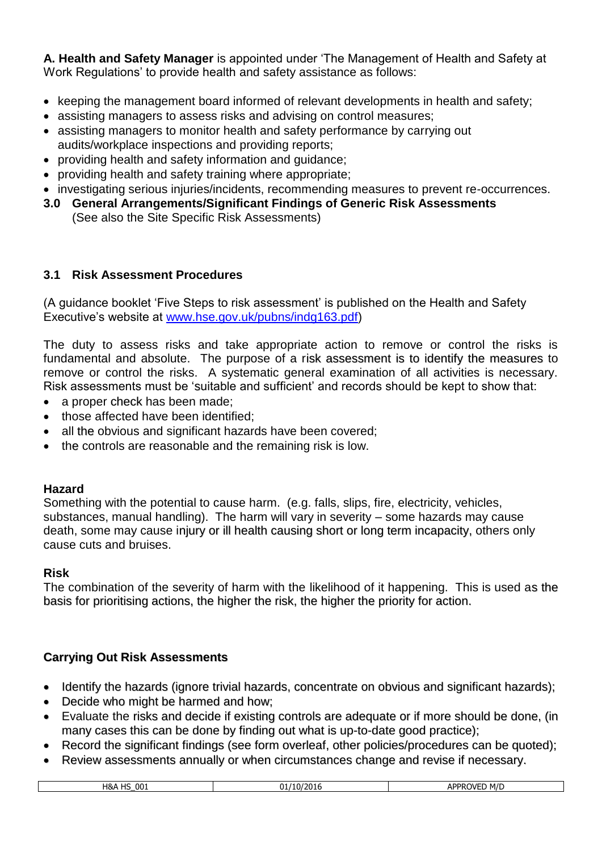**A. Health and Safety Manager** is appointed under 'The Management of Health and Safety at Work Regulations' to provide health and safety assistance as follows:

- keeping the management board informed of relevant developments in health and safety;
- assisting managers to assess risks and advising on control measures;
- assisting managers to monitor health and safety performance by carrying out audits/workplace inspections and providing reports;
- providing health and safety information and guidance;
- providing health and safety training where appropriate;
- investigating serious injuries/incidents, recommending measures to prevent re-occurrences.
- **3.0 General Arrangements/Significant Findings of Generic Risk Assessments** 
	- (See also the Site Specific Risk Assessments)

# **3.1 Risk Assessment Procedures**

(A guidance booklet 'Five Steps to risk assessment' is published on the Health and Safety Executive's website at [www.hse.gov.uk/pubns/indg163.pdf\)](http://www.hse.gov.uk/pubns/indg163.pdf)

The duty to assess risks and take appropriate action to remove or control the risks is fundamental and absolute. The purpose of a risk assessment is to identify the measures to remove or control the risks. A systematic general examination of all activities is necessary. Risk assessments must be 'suitable and sufficient' and records should be kept to show that:

- a proper check has been made;
- those affected have been identified;
- all the obvious and significant hazards have been covered;
- the controls are reasonable and the remaining risk is low.

# **Hazard**

Something with the potential to cause harm. (e.g. falls, slips, fire, electricity, vehicles, substances, manual handling). The harm will vary in severity – some hazards may cause death, some may cause injury or ill health causing short or long term incapacity, others only cause cuts and bruises.

# **Risk**

The combination of the severity of harm with the likelihood of it happening. This is used as the basis for prioritising actions, the higher the risk, the higher the priority for action.

# **Carrying Out Risk Assessments**

- Identify the hazards (ignore trivial hazards, concentrate on obvious and significant hazards);
- Decide who might be harmed and how;
- Evaluate the risks and decide if existing controls are adequate or if more should be done, (in many cases this can be done by finding out what is up-to-date good practice);
- Record the significant findings (see form overleaf, other policies/procedures can be quoted);
- Review assessments annually or when circumstances change and revise if necessary.

| 001<br>Ч&<br>10 <sup>2</sup><br>-<br>. . | $^{1/201}$<br>10/<br> | nnn<br>----<br>M/I<br>וור<br>٦ſ |
|------------------------------------------|-----------------------|---------------------------------|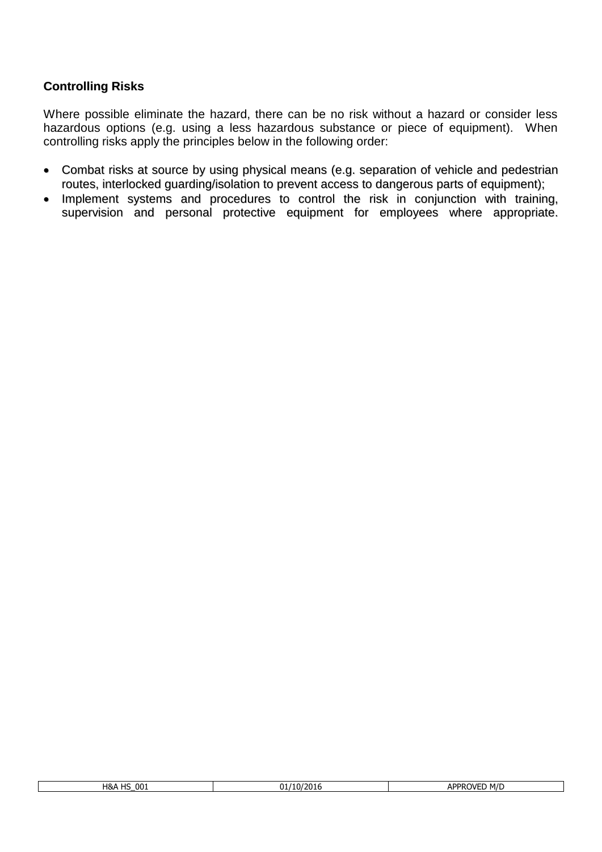# **Controlling Risks**

Where possible eliminate the hazard, there can be no risk without a hazard or consider less hazardous options (e.g. using a less hazardous substance or piece of equipment). When controlling risks apply the principles below in the following order:

- Combat risks at source by using physical means (e.g. separation of vehicle and pedestrian routes, interlocked guarding/isolation to prevent access to dangerous parts of equipment);
- Implement systems and procedures to control the risk in conjunction with training, supervision and personal protective equipment for employees where appropriate.

| 001<br>$\cdot$ $\cdot$<br>H&A<br>-- | 1001<br>$^{(1)}$<br>ר נ<br>2016<br>ັ້ | ∆DDP<br>M/E<br>1VF<br>nı. |
|-------------------------------------|---------------------------------------|---------------------------|
|                                     |                                       |                           |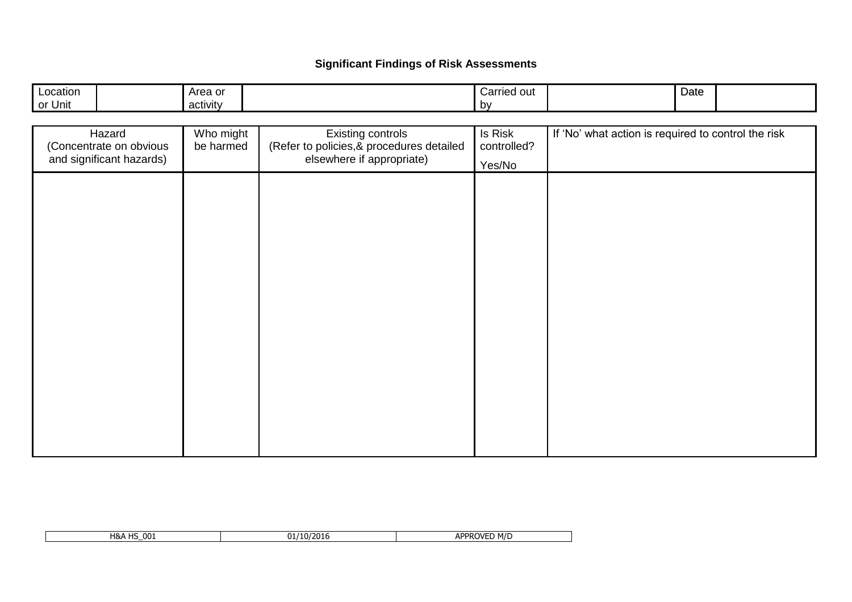# **Significant Findings of Risk Assessments**

| Location | Area or                                         | Carried out | Date |  |
|----------|-------------------------------------------------|-------------|------|--|
| or Unit  | the contract of the contract of the<br>activity | bv          |      |  |

| Hazard<br>(Concentrate on obvious<br>and significant hazards) | Who might<br>be harmed | <b>Existing controls</b><br>(Refer to policies, & procedures detailed<br>elsewhere if appropriate) | Is Risk<br>controlled?<br>Yes/No | If 'No' what action is required to control the risk |
|---------------------------------------------------------------|------------------------|----------------------------------------------------------------------------------------------------|----------------------------------|-----------------------------------------------------|
|                                                               |                        |                                                                                                    |                                  |                                                     |
|                                                               |                        |                                                                                                    |                                  |                                                     |
|                                                               |                        |                                                                                                    |                                  |                                                     |
|                                                               |                        |                                                                                                    |                                  |                                                     |
|                                                               |                        |                                                                                                    |                                  |                                                     |
|                                                               |                        |                                                                                                    |                                  |                                                     |
|                                                               |                        |                                                                                                    |                                  |                                                     |

| 00 <sub>i</sub><br>$\overline{11}$<br>H&A<br>пz | Λ.<br>'10/2016 | <b>APPROVER</b><br>M/D<br>ור<br>ட<br>. . |
|-------------------------------------------------|----------------|------------------------------------------|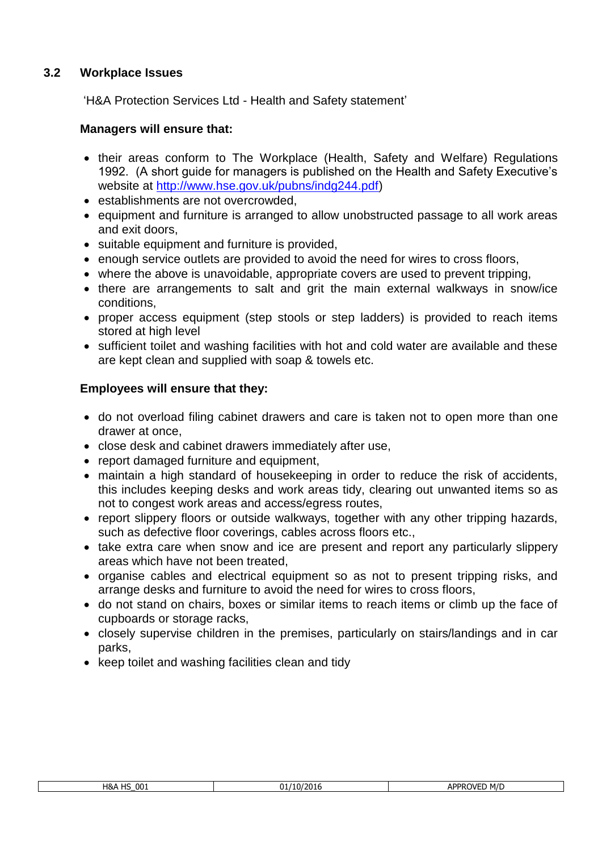# **3.2 Workplace Issues**

'H&A Protection Services Ltd - Health and Safety statement'

## **Managers will ensure that:**

- their areas conform to The Workplace (Health, Safety and Welfare) Regulations 1992. (A short guide for managers is published on the Health and Safety Executive's website at [http://www.hse.gov.uk/pubns/indg244.pdf\)](http://www.hse.gov.uk/pubns/indg244.pdf)
- establishments are not overcrowded,
- equipment and furniture is arranged to allow unobstructed passage to all work areas and exit doors,
- suitable equipment and furniture is provided,
- enough service outlets are provided to avoid the need for wires to cross floors,
- where the above is unavoidable, appropriate covers are used to prevent tripping.
- there are arrangements to salt and grit the main external walkways in snow/ice conditions,
- proper access equipment (step stools or step ladders) is provided to reach items stored at high level
- sufficient toilet and washing facilities with hot and cold water are available and these are kept clean and supplied with soap & towels etc.

- do not overload filing cabinet drawers and care is taken not to open more than one drawer at once,
- close desk and cabinet drawers immediately after use,
- report damaged furniture and equipment,
- maintain a high standard of housekeeping in order to reduce the risk of accidents, this includes keeping desks and work areas tidy, clearing out unwanted items so as not to congest work areas and access/egress routes,
- report slippery floors or outside walkways, together with any other tripping hazards, such as defective floor coverings, cables across floors etc.,
- take extra care when snow and ice are present and report any particularly slippery areas which have not been treated,
- organise cables and electrical equipment so as not to present tripping risks, and arrange desks and furniture to avoid the need for wires to cross floors,
- do not stand on chairs, boxes or similar items to reach items or climb up the face of cupboards or storage racks,
- closely supervise children in the premises, particularly on stairs/landings and in car parks,
- keep toilet and washing facilities clean and tidy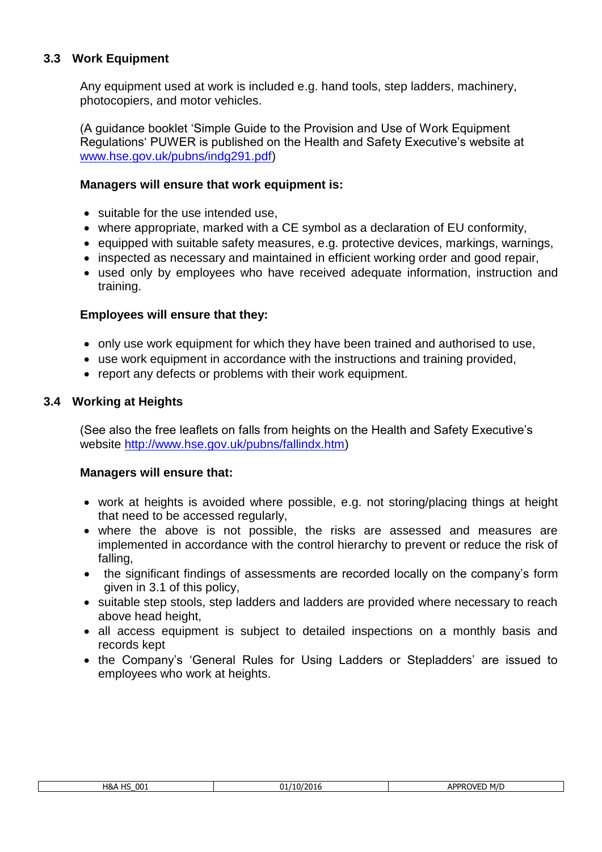# **3.3 Work Equipment**

Any equipment used at work is included e.g. hand tools, step ladders, machinery, photocopiers, and motor vehicles.

(A guidance booklet 'Simple Guide to the Provision and Use of Work Equipment Regulations' PUWER is published on the Health and Safety Executive's website at [www.hse.gov.uk/pubns/indg291.pdf\)](http://www.hse.gov.uk/pubns/indg291.pdf)

#### **Managers will ensure that work equipment is:**

- suitable for the use intended use,
- where appropriate, marked with a CE symbol as a declaration of EU conformity,
- equipped with suitable safety measures, e.g. protective devices, markings, warnings,
- inspected as necessary and maintained in efficient working order and good repair,
- used only by employees who have received adequate information, instruction and training.

## **Employees will ensure that they:**

- only use work equipment for which they have been trained and authorised to use,
- use work equipment in accordance with the instructions and training provided,
- report any defects or problems with their work equipment.

## **3.4 Working at Heights**

(See also the free leaflets on falls from heights on the Health and Safety Executive's website [http://www.hse.gov.uk/pubns/fallindx.htm\)](http://www.hse.gov.uk/pubns/fallindx.htm)

- work at heights is avoided where possible, e.g. not storing/placing things at height that need to be accessed regularly,
- where the above is not possible, the risks are assessed and measures are implemented in accordance with the control hierarchy to prevent or reduce the risk of falling,
- the significant findings of assessments are recorded locally on the company's form given in 3.1 of this policy,
- suitable step stools, step ladders and ladders are provided where necessary to reach above head height,
- all access equipment is subject to detailed inspections on a monthly basis and records kept
- the Company's 'General Rules for Using Ladders or Stepladders' are issued to employees who work at heights.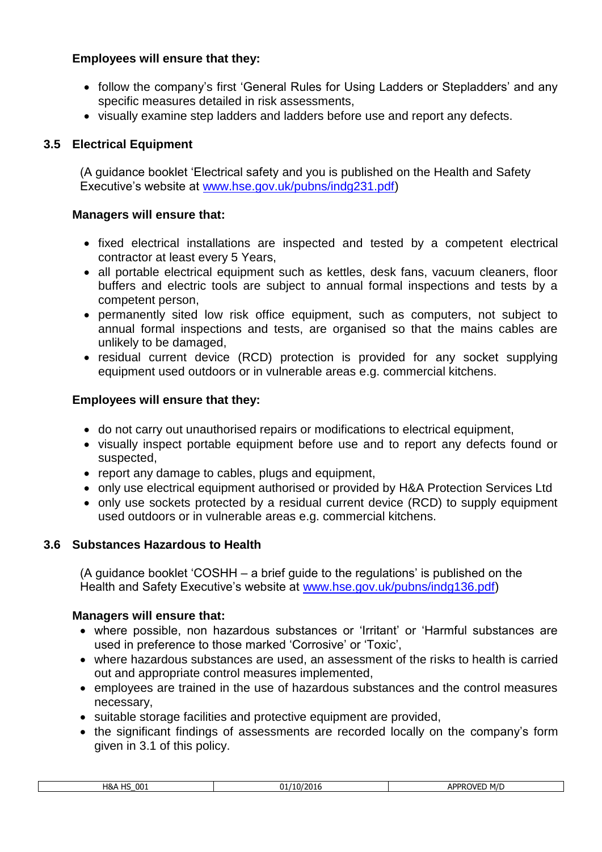- follow the company's first 'General Rules for Using Ladders or Stepladders' and any specific measures detailed in risk assessments,
- visually examine step ladders and ladders before use and report any defects.

# **3.5 Electrical Equipment**

(A guidance booklet 'Electrical safety and you is published on the Health and Safety Executive's website at [www.hse.gov.uk/pubns/indg231.pdf\)](http://www.hse.gov.uk/pubns/indg231.pdf)

#### **Managers will ensure that:**

- fixed electrical installations are inspected and tested by a competent electrical contractor at least every 5 Years,
- all portable electrical equipment such as kettles, desk fans, vacuum cleaners, floor buffers and electric tools are subject to annual formal inspections and tests by a competent person,
- permanently sited low risk office equipment, such as computers, not subject to annual formal inspections and tests, are organised so that the mains cables are unlikely to be damaged,
- residual current device (RCD) protection is provided for any socket supplying equipment used outdoors or in vulnerable areas e.g. commercial kitchens.

# **Employees will ensure that they:**

- do not carry out unauthorised repairs or modifications to electrical equipment,
- visually inspect portable equipment before use and to report any defects found or suspected,
- report any damage to cables, plugs and equipment,
- only use electrical equipment authorised or provided by H&A Protection Services Ltd
- only use sockets protected by a residual current device (RCD) to supply equipment used outdoors or in vulnerable areas e.g. commercial kitchens.

# **3.6 Substances Hazardous to Health**

(A guidance booklet 'COSHH – a brief guide to the regulations' is published on the Health and Safety Executive's website at [www.hse.gov.uk/pubns/indg136.pdf\)](http://www.hse.gov.uk/pubns/indg136.pdf)

- where possible, non hazardous substances or 'Irritant' or 'Harmful substances are used in preference to those marked 'Corrosive' or 'Toxic',
- where hazardous substances are used, an assessment of the risks to health is carried out and appropriate control measures implemented,
- employees are trained in the use of hazardous substances and the control measures necessary,
- suitable storage facilities and protective equipment are provided,
- the significant findings of assessments are recorded locally on the company's form given in 3.1 of this policy.

| י הה<br>H&A<br>ШC<br>UUI<br>. | '10/2016<br>11، | APPROVF'<br>M/E |
|-------------------------------|-----------------|-----------------|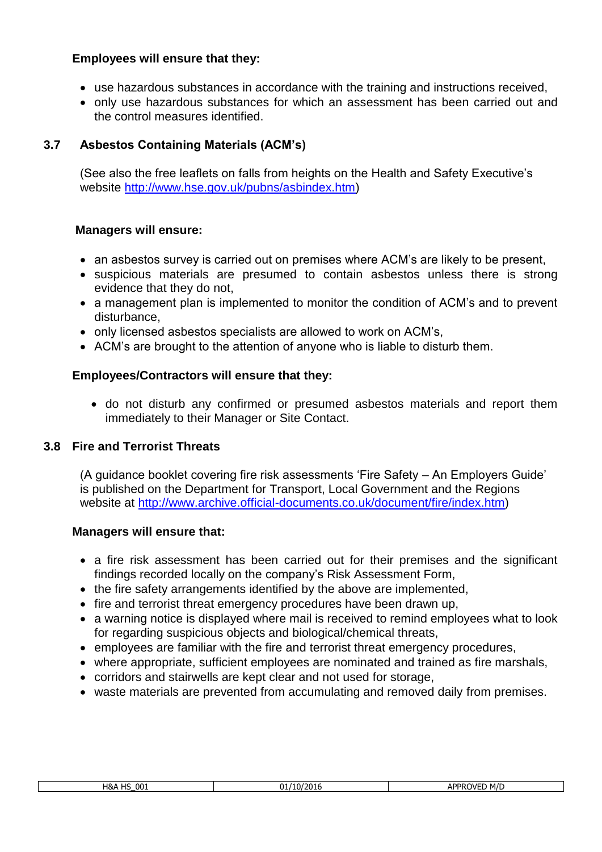- use hazardous substances in accordance with the training and instructions received,
- only use hazardous substances for which an assessment has been carried out and the control measures identified.

# **3.7 Asbestos Containing Materials (ACM's)**

(See also the free leaflets on falls from heights on the Health and Safety Executive's website [http://www.hse.gov.uk/pubns/asbindex.htm\)](http://www.hse.gov.uk/pubns/asbindex.htm)

#### **Managers will ensure:**

- an asbestos survey is carried out on premises where ACM's are likely to be present,
- suspicious materials are presumed to contain asbestos unless there is strong evidence that they do not,
- a management plan is implemented to monitor the condition of ACM's and to prevent disturbance,
- only licensed asbestos specialists are allowed to work on ACM's,
- ACM's are brought to the attention of anyone who is liable to disturb them.

#### **Employees/Contractors will ensure that they:**

• do not disturb any confirmed or presumed asbestos materials and report them immediately to their Manager or Site Contact.

#### **3.8 Fire and Terrorist Threats**

(A guidance booklet covering fire risk assessments 'Fire Safety – An Employers Guide' is published on the Department for Transport, Local Government and the Regions website at [http://www.archive.official-documents.co.uk/document/fire/index.htm\)](http://www.archive.official-documents.co.uk/document/fire/index.htm)

- a fire risk assessment has been carried out for their premises and the significant findings recorded locally on the company's Risk Assessment Form,
- the fire safety arrangements identified by the above are implemented,
- fire and terrorist threat emergency procedures have been drawn up,
- a warning notice is displayed where mail is received to remind employees what to look for regarding suspicious objects and biological/chemical threats,
- employees are familiar with the fire and terrorist threat emergency procedures,
- where appropriate, sufficient employees are nominated and trained as fire marshals,
- corridors and stairwells are kept clear and not used for storage,
- waste materials are prevented from accumulating and removed daily from premises.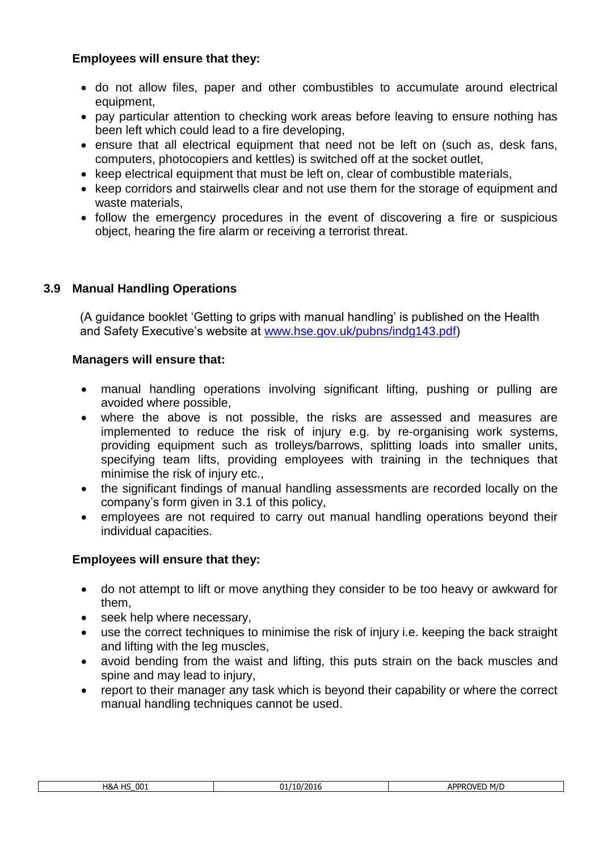- do not allow files, paper and other combustibles to accumulate around electrical equipment,
- pay particular attention to checking work areas before leaving to ensure nothing has been left which could lead to a fire developing,
- ensure that all electrical equipment that need not be left on (such as, desk fans, computers, photocopiers and kettles) is switched off at the socket outlet,
- keep electrical equipment that must be left on, clear of combustible materials,
- keep corridors and stairwells clear and not use them for the storage of equipment and waste materials,
- follow the emergency procedures in the event of discovering a fire or suspicious object, hearing the fire alarm or receiving a terrorist threat.

# **3.9 Manual Handling Operations**

(A guidance booklet 'Getting to grips with manual handling' is published on the Health and Safety Executive's website at [www.hse.gov.uk/pubns/indg143.pdf\)](http://www.hse.gov.uk/pubns/indg143.pdf)

## **Managers will ensure that:**

- manual handling operations involving significant lifting, pushing or pulling are avoided where possible,
- where the above is not possible, the risks are assessed and measures are implemented to reduce the risk of injury e.g. by re-organising work systems, providing equipment such as trolleys/barrows, splitting loads into smaller units, specifying team lifts, providing employees with training in the techniques that minimise the risk of injury etc.,
- the significant findings of manual handling assessments are recorded locally on the company's form given in 3.1 of this policy,
- employees are not required to carry out manual handling operations beyond their individual capacities.

- do not attempt to lift or move anything they consider to be too heavy or awkward for them,
- seek help where necessary,
- use the correct techniques to minimise the risk of injury i.e. keeping the back straight and lifting with the leg muscles,
- avoid bending from the waist and lifting, this puts strain on the back muscles and spine and may lead to injury,
- report to their manager any task which is beyond their capability or where the correct manual handling techniques cannot be used.

| <b>H&amp;A HS 001</b> | 01/10/2016 |
|-----------------------|------------|
|                       |            |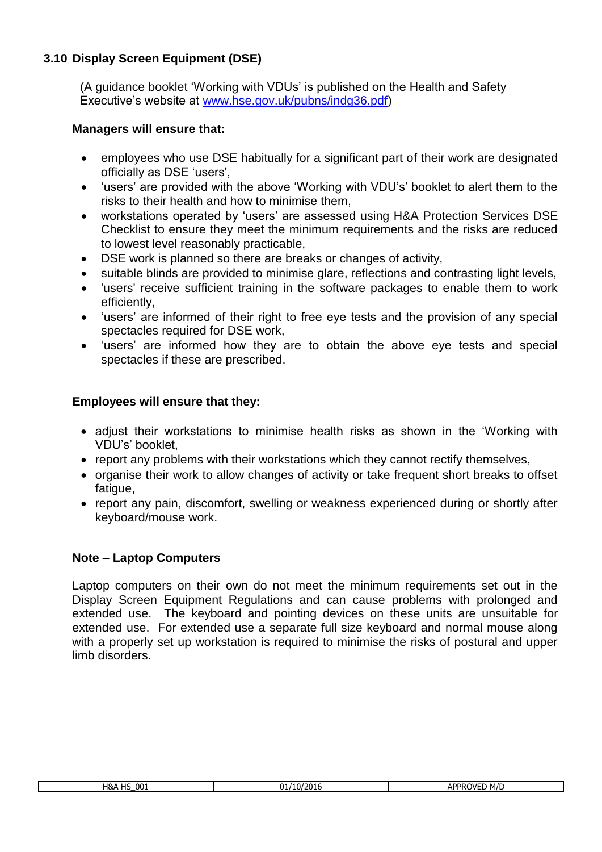# **3.10 Display Screen Equipment (DSE)**

(A guidance booklet 'Working with VDUs' is published on the Health and Safety Executive's website at [www.hse.gov.uk/pubns/indg36.pdf\)](http://www.hse.gov.uk/pubns/indg36.pdf)

## **Managers will ensure that:**

- employees who use DSE habitually for a significant part of their work are designated officially as DSE 'users',
- 'users' are provided with the above 'Working with VDU's' booklet to alert them to the risks to their health and how to minimise them,
- workstations operated by 'users' are assessed using H&A Protection Services DSE Checklist to ensure they meet the minimum requirements and the risks are reduced to lowest level reasonably practicable,
- DSE work is planned so there are breaks or changes of activity,
- suitable blinds are provided to minimise glare, reflections and contrasting light levels,
- 'users' receive sufficient training in the software packages to enable them to work efficiently,
- 'users' are informed of their right to free eye tests and the provision of any special spectacles required for DSE work,
- 'users' are informed how they are to obtain the above eye tests and special spectacles if these are prescribed.

## **Employees will ensure that they:**

- adjust their workstations to minimise health risks as shown in the 'Working with VDU's' booklet,
- report any problems with their workstations which they cannot rectify themselves,
- organise their work to allow changes of activity or take frequent short breaks to offset fatigue,
- report any pain, discomfort, swelling or weakness experienced during or shortly after keyboard/mouse work.

#### **Note – Laptop Computers**

Laptop computers on their own do not meet the minimum requirements set out in the Display Screen Equipment Regulations and can cause problems with prolonged and extended use. The keyboard and pointing devices on these units are unsuitable for extended use. For extended use a separate full size keyboard and normal mouse along with a properly set up workstation is required to minimise the risks of postural and upper limb disorders.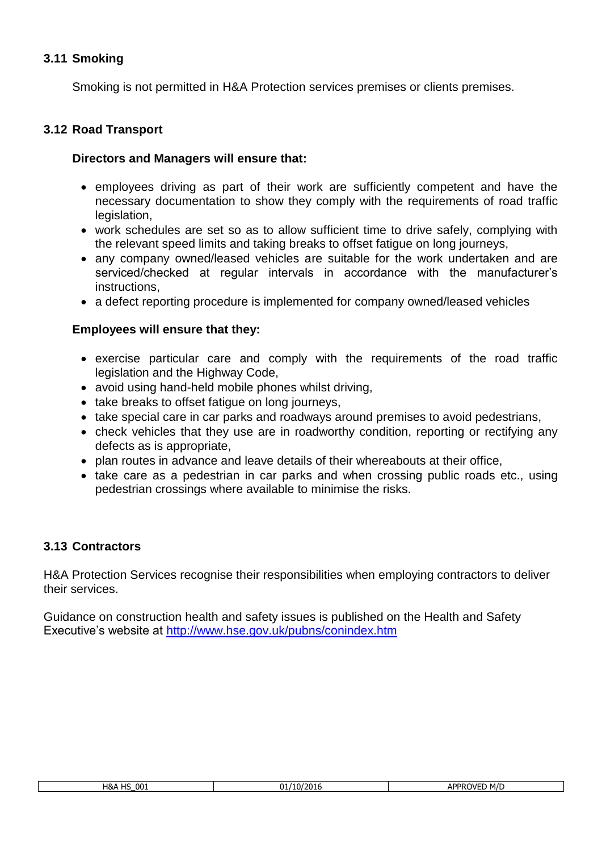# **3.11 Smoking**

Smoking is not permitted in H&A Protection services premises or clients premises.

#### **3.12 Road Transport**

#### **Directors and Managers will ensure that:**

- employees driving as part of their work are sufficiently competent and have the necessary documentation to show they comply with the requirements of road traffic legislation,
- work schedules are set so as to allow sufficient time to drive safely, complying with the relevant speed limits and taking breaks to offset fatigue on long journeys,
- any company owned/leased vehicles are suitable for the work undertaken and are serviced/checked at regular intervals in accordance with the manufacturer's instructions,
- a defect reporting procedure is implemented for company owned/leased vehicles

## **Employees will ensure that they:**

- exercise particular care and comply with the requirements of the road traffic legislation and the Highway Code,
- avoid using hand-held mobile phones whilst driving,
- take breaks to offset fatigue on long journeys,
- take special care in car parks and roadways around premises to avoid pedestrians,
- check vehicles that they use are in roadworthy condition, reporting or rectifying any defects as is appropriate,
- plan routes in advance and leave details of their whereabouts at their office,
- take care as a pedestrian in car parks and when crossing public roads etc., using pedestrian crossings where available to minimise the risks.

#### **3.13 Contractors**

H&A Protection Services recognise their responsibilities when employing contractors to deliver their services.

Guidance on construction health and safety issues is published on the Health and Safety Executive's website at<http://www.hse.gov.uk/pubns/conindex.htm>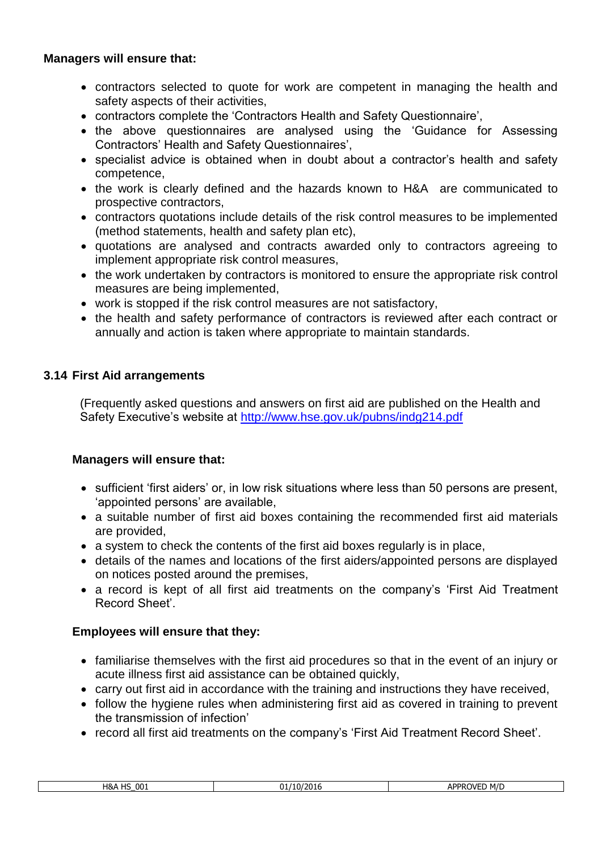#### **Managers will ensure that:**

- contractors selected to quote for work are competent in managing the health and safety aspects of their activities,
- contractors complete the 'Contractors Health and Safety Questionnaire',
- the above questionnaires are analysed using the 'Guidance for Assessing Contractors' Health and Safety Questionnaires',
- specialist advice is obtained when in doubt about a contractor's health and safety competence,
- the work is clearly defined and the hazards known to H&A are communicated to prospective contractors,
- contractors quotations include details of the risk control measures to be implemented (method statements, health and safety plan etc),
- quotations are analysed and contracts awarded only to contractors agreeing to implement appropriate risk control measures,
- the work undertaken by contractors is monitored to ensure the appropriate risk control measures are being implemented,
- work is stopped if the risk control measures are not satisfactory,
- the health and safety performance of contractors is reviewed after each contract or annually and action is taken where appropriate to maintain standards.

#### **3.14 First Aid arrangements**

(Frequently asked questions and answers on first aid are published on the Health and Safety Executive's website at<http://www.hse.gov.uk/pubns/indg214.pdf>

#### **Managers will ensure that:**

- sufficient 'first aiders' or, in low risk situations where less than 50 persons are present, 'appointed persons' are available,
- a suitable number of first aid boxes containing the recommended first aid materials are provided,
- a system to check the contents of the first aid boxes regularly is in place,
- details of the names and locations of the first aiders/appointed persons are displayed on notices posted around the premises,
- a record is kept of all first aid treatments on the company's 'First Aid Treatment Record Sheet'.

- familiarise themselves with the first aid procedures so that in the event of an injury or acute illness first aid assistance can be obtained quickly,
- carry out first aid in accordance with the training and instructions they have received,
- follow the hygiene rules when administering first aid as covered in training to prevent the transmission of infection'
- record all first aid treatments on the company's 'First Aid Treatment Record Sheet'.

| 001<br>H&A<br>$\overline{11}$<br>۔ ب | $\overline{\phantom{a}}$<br>າາ<br>/2016 | M/D<br><b>APPRO'</b><br>N/F<br>ור |
|--------------------------------------|-----------------------------------------|-----------------------------------|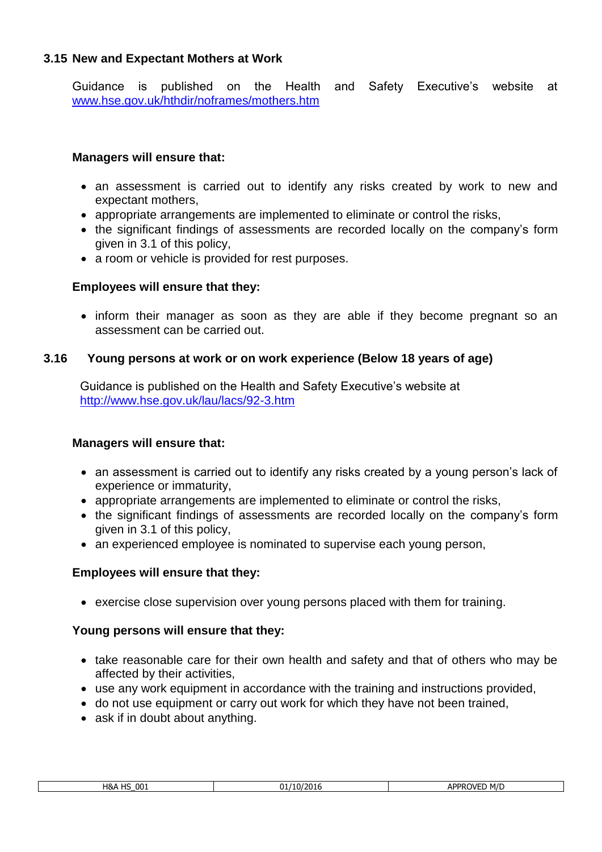#### **3.15 New and Expectant Mothers at Work**

Guidance is published on the Health and Safety Executive's website at [www.hse.gov.uk/hthdir/noframes/mothers.htm](http://www.hse.gov.uk/hthdir/noframes/mothers.htm)

#### **Managers will ensure that:**

- an assessment is carried out to identify any risks created by work to new and expectant mothers,
- appropriate arrangements are implemented to eliminate or control the risks,
- the significant findings of assessments are recorded locally on the company's form given in 3.1 of this policy,
- a room or vehicle is provided for rest purposes.

#### **Employees will ensure that they:**

• inform their manager as soon as they are able if they become pregnant so an assessment can be carried out.

#### **3.16 Young persons at work or on work experience (Below 18 years of age)**

Guidance is published on the Health and Safety Executive's website at <http://www.hse.gov.uk/lau/lacs/92-3.htm>

#### **Managers will ensure that:**

- an assessment is carried out to identify any risks created by a young person's lack of experience or immaturity,
- appropriate arrangements are implemented to eliminate or control the risks,
- the significant findings of assessments are recorded locally on the company's form given in 3.1 of this policy,
- an experienced employee is nominated to supervise each young person,

#### **Employees will ensure that they:**

• exercise close supervision over young persons placed with them for training.

#### **Young persons will ensure that they:**

- take reasonable care for their own health and safety and that of others who may be affected by their activities,
- use any work equipment in accordance with the training and instructions provided,
- do not use equipment or carry out work for which they have not been trained,
- ask if in doubt about anything.

| יחח<br>חו ו<br>יי<br>$\mathbf{v}$ |                 |      |     |
|-----------------------------------|-----------------|------|-----|
|                                   | 001<br>H&A<br>. | -970 | M/D |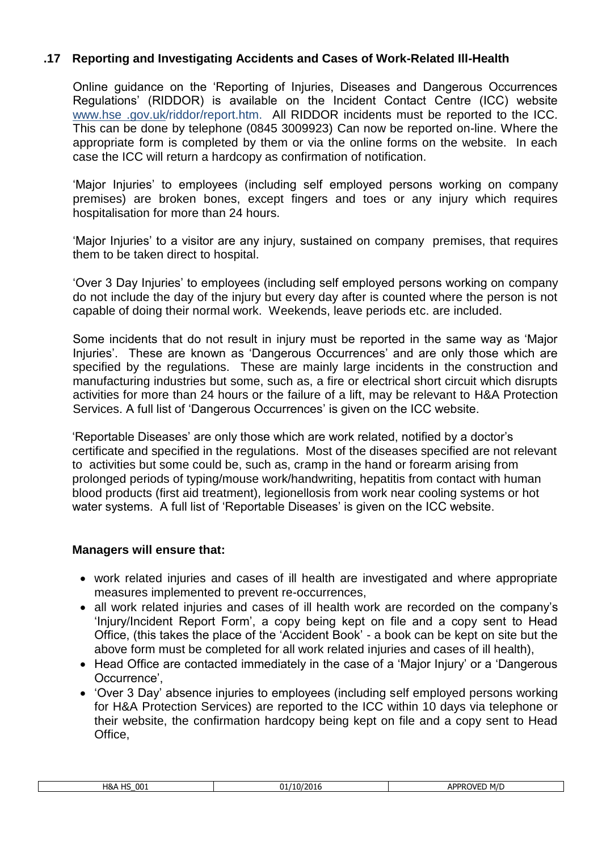# **.17 Reporting and Investigating Accidents and Cases of Work-Related Ill-Health**

Online guidance on the 'Reporting of Injuries, Diseases and Dangerous Occurrences Regulations' (RIDDOR) is available on the Incident Contact Centre (ICC) website www.hse .gov.uk/riddor/report.htm. All RIDDOR incidents must be reported to the ICC. This can be done by telephone (0845 3009923) Can now be reported on-line. Where the appropriate form is completed by them or via the online forms on the website. In each case the ICC will return a hardcopy as confirmation of notification.

'Major Injuries' to employees (including self employed persons working on company premises) are broken bones, except fingers and toes or any injury which requires hospitalisation for more than 24 hours.

'Major Injuries' to a visitor are any injury, sustained on company premises, that requires them to be taken direct to hospital.

'Over 3 Day Injuries' to employees (including self employed persons working on company do not include the day of the injury but every day after is counted where the person is not capable of doing their normal work. Weekends, leave periods etc. are included.

Some incidents that do not result in injury must be reported in the same way as 'Major Injuries'. These are known as 'Dangerous Occurrences' and are only those which are specified by the regulations. These are mainly large incidents in the construction and manufacturing industries but some, such as, a fire or electrical short circuit which disrupts activities for more than 24 hours or the failure of a lift, may be relevant to H&A Protection Services. A full list of 'Dangerous Occurrences' is given on the ICC website.

'Reportable Diseases' are only those which are work related, notified by a doctor's certificate and specified in the regulations. Most of the diseases specified are not relevant to activities but some could be, such as, cramp in the hand or forearm arising from prolonged periods of typing/mouse work/handwriting, hepatitis from contact with human blood products (first aid treatment), legionellosis from work near cooling systems or hot water systems. A full list of 'Reportable Diseases' is given on the ICC website.

- work related injuries and cases of ill health are investigated and where appropriate measures implemented to prevent re-occurrences,
- all work related injuries and cases of ill health work are recorded on the company's 'Injury/Incident Report Form', a copy being kept on file and a copy sent to Head Office, (this takes the place of the 'Accident Book' - a book can be kept on site but the above form must be completed for all work related injuries and cases of ill health),
- Head Office are contacted immediately in the case of a 'Major Injury' or a 'Dangerous' Occurrence',
- 'Over 3 Day' absence injuries to employees (including self employed persons working for H&A Protection Services) are reported to the ICC within 10 days via telephone or their website, the confirmation hardcopy being kept on file and a copy sent to Head Office,

| H&A<br>001<br>பெ<br>. | <br>י∩ר<br>ባነ<br>$\mathbf{u}$<br>י ביש. | <b>ADDROVE</b><br>M/D<br>ור |
|-----------------------|-----------------------------------------|-----------------------------|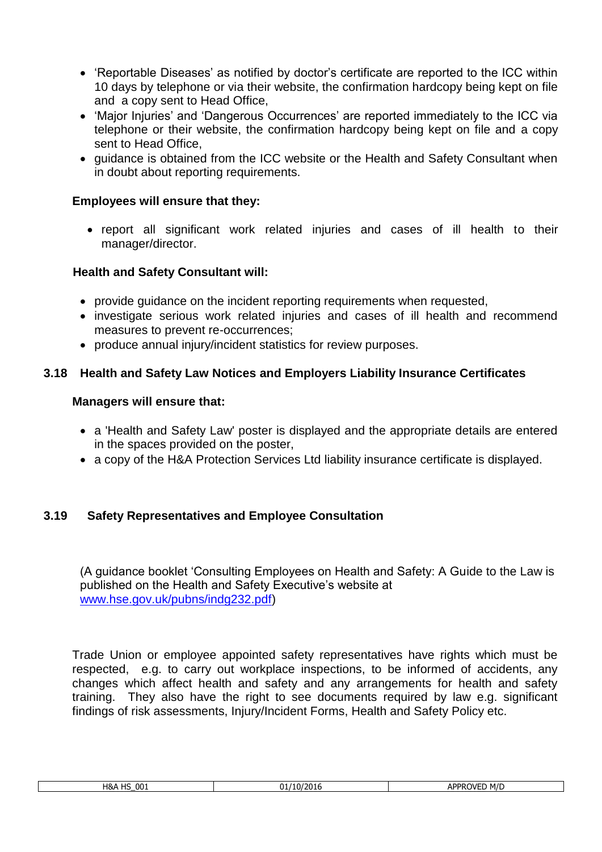- 'Reportable Diseases' as notified by doctor's certificate are reported to the ICC within 10 days by telephone or via their website, the confirmation hardcopy being kept on file and a copy sent to Head Office,
- 'Major Injuries' and 'Dangerous Occurrences' are reported immediately to the ICC via telephone or their website, the confirmation hardcopy being kept on file and a copy sent to Head Office,
- guidance is obtained from the ICC website or the Health and Safety Consultant when in doubt about reporting requirements.

• report all significant work related injuries and cases of ill health to their manager/director.

## **Health and Safety Consultant will:**

- provide guidance on the incident reporting requirements when requested,
- investigate serious work related injuries and cases of ill health and recommend measures to prevent re-occurrences;
- produce annual injury/incident statistics for review purposes.

# **3.18 Health and Safety Law Notices and Employers Liability Insurance Certificates**

#### **Managers will ensure that:**

- a 'Health and Safety Law' poster is displayed and the appropriate details are entered in the spaces provided on the poster,
- a copy of the H&A Protection Services Ltd liability insurance certificate is displayed.

# **3.19 Safety Representatives and Employee Consultation**

(A guidance booklet 'Consulting Employees on Health and Safety: A Guide to the Law is published on the Health and Safety Executive's website at [www.hse.gov.uk/pubns/indg232.pdf\)](http://www.hse.gov.uk/pubns/indg232.pdf)

Trade Union or employee appointed safety representatives have rights which must be respected, e.g. to carry out workplace inspections, to be informed of accidents, any changes which affect health and safety and any arrangements for health and safety training. They also have the right to see documents required by law e.g. significant findings of risk assessments, Injury/Incident Forms, Health and Safety Policy etc.

| 001<br>$\sim$<br>H&A<br>. . | 10/2016<br>JI' | APPROVED M/D |
|-----------------------------|----------------|--------------|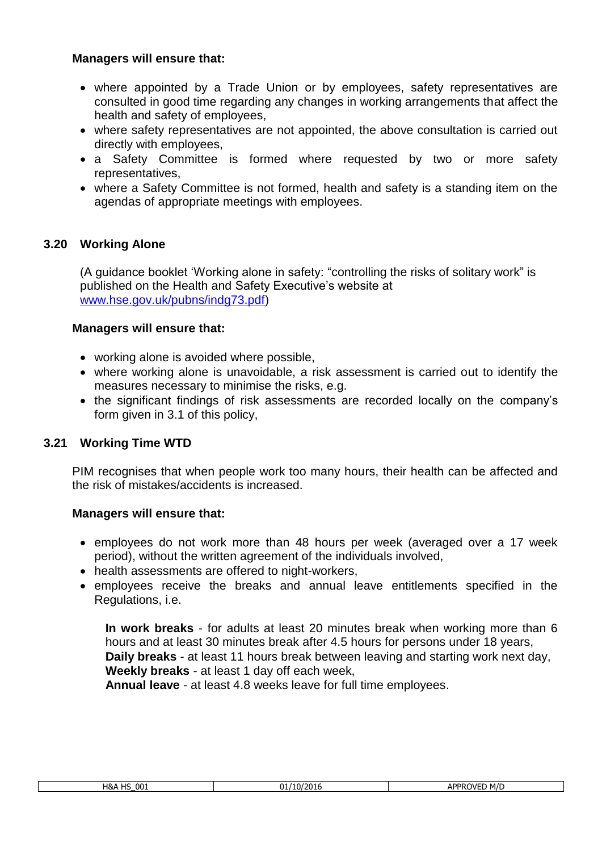#### **Managers will ensure that:**

- where appointed by a Trade Union or by employees, safety representatives are consulted in good time regarding any changes in working arrangements that affect the health and safety of employees,
- where safety representatives are not appointed, the above consultation is carried out directly with employees,
- a Safety Committee is formed where requested by two or more safety representatives,
- where a Safety Committee is not formed, health and safety is a standing item on the agendas of appropriate meetings with employees.

# **3.20 Working Alone**

(A guidance booklet 'Working alone in safety: "controlling the risks of solitary work" is published on the Health and Safety Executive's website at [www.hse.gov.uk/pubns/indg73.pdf\)](http://www.hse.gov.uk/pubns/indg73.pdf)

## **Managers will ensure that:**

- working alone is avoided where possible,
- where working alone is unavoidable, a risk assessment is carried out to identify the measures necessary to minimise the risks, e.g.
- the significant findings of risk assessments are recorded locally on the company's form given in 3.1 of this policy,

# **3.21 Working Time WTD**

PIM recognises that when people work too many hours, their health can be affected and the risk of mistakes/accidents is increased.

#### **Managers will ensure that:**

- employees do not work more than 48 hours per week (averaged over a 17 week period), without the written agreement of the individuals involved,
- health assessments are offered to night-workers,
- employees receive the breaks and annual leave entitlements specified in the Regulations, i.e.

**In work breaks** - for adults at least 20 minutes break when working more than 6 hours and at least 30 minutes break after 4.5 hours for persons under 18 years, **Daily breaks** - at least 11 hours break between leaving and starting work next day, **Weekly breaks** - at least 1 day off each week,

**Annual leave** - at least 4.8 weeks leave for full time employees.

| H&A HS | 001 |
|--------|-----|
|        |     |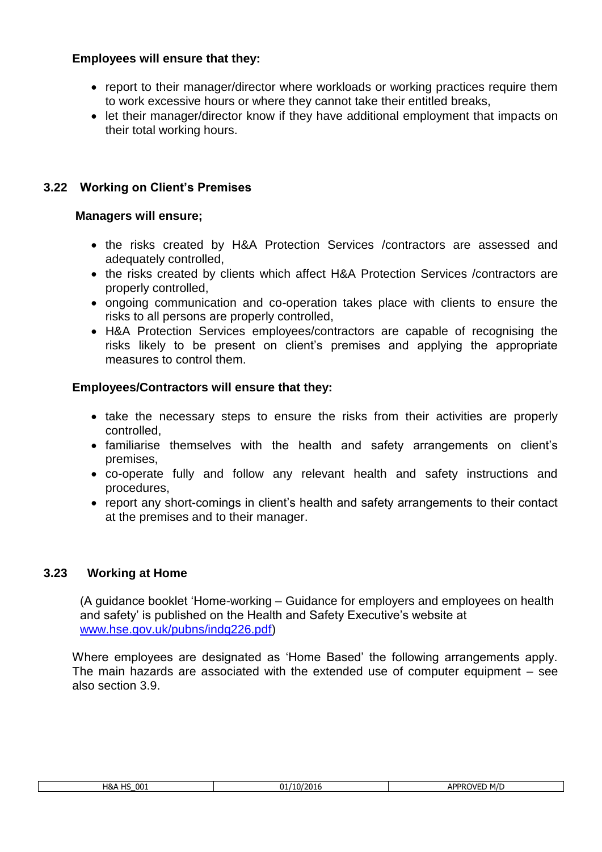- report to their manager/director where workloads or working practices require them to work excessive hours or where they cannot take their entitled breaks,
- let their manager/director know if they have additional employment that impacts on their total working hours.

# **3.22 Working on Client's Premises**

#### **Managers will ensure;**

- the risks created by H&A Protection Services /contractors are assessed and adequately controlled,
- the risks created by clients which affect H&A Protection Services /contractors are properly controlled,
- ongoing communication and co-operation takes place with clients to ensure the risks to all persons are properly controlled,
- H&A Protection Services employees/contractors are capable of recognising the risks likely to be present on client's premises and applying the appropriate measures to control them.

## **Employees/Contractors will ensure that they:**

- take the necessary steps to ensure the risks from their activities are properly controlled,
- familiarise themselves with the health and safety arrangements on client's premises,
- co-operate fully and follow any relevant health and safety instructions and procedures,
- report any short-comings in client's health and safety arrangements to their contact at the premises and to their manager.

#### **3.23 Working at Home**

(A guidance booklet 'Home-working – Guidance for employers and employees on health and safety' is published on the Health and Safety Executive's website at [www.hse.gov.uk/pubns/indg226.pdf\)](http://www.hse.gov.uk/pubns/indg226.pdf)

Where employees are designated as 'Home Based' the following arrangements apply. The main hazards are associated with the extended use of computer equipment – see also section 3.9.

| 4&A HS 001 |  |
|------------|--|
|            |  |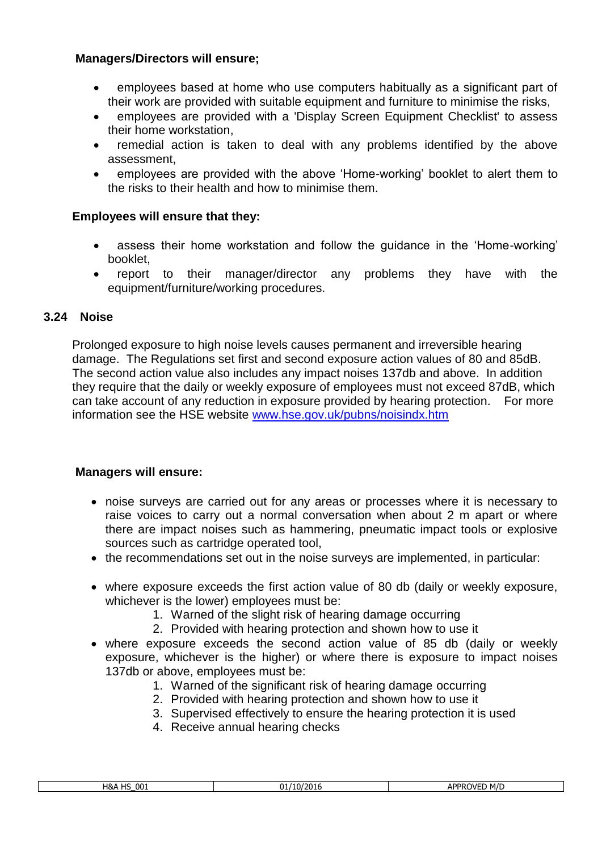#### **Managers/Directors will ensure;**

- employees based at home who use computers habitually as a significant part of their work are provided with suitable equipment and furniture to minimise the risks,
- employees are provided with a 'Display Screen Equipment Checklist' to assess their home workstation,
- remedial action is taken to deal with any problems identified by the above assessment,
- employees are provided with the above 'Home-working' booklet to alert them to the risks to their health and how to minimise them.

#### **Employees will ensure that they:**

- assess their home workstation and follow the guidance in the 'Home-working' booklet,
- report to their manager/director any problems they have with the equipment/furniture/working procedures.

#### **3.24 Noise**

Prolonged exposure to high noise levels causes permanent and irreversible hearing damage. The Regulations set first and second exposure action values of 80 and 85dB. The second action value also includes any impact noises 137db and above. In addition they require that the daily or weekly exposure of employees must not exceed 87dB, which can take account of any reduction in exposure provided by hearing protection. For more information see the HSE website [www.hse.gov.uk/pubns/noisindx.htm](http://www.hse.gov.uk/pubns/noisindx.htm)

#### **Managers will ensure:**

- noise surveys are carried out for any areas or processes where it is necessary to raise voices to carry out a normal conversation when about 2 m apart or where there are impact noises such as hammering, pneumatic impact tools or explosive sources such as cartridge operated tool,
- the recommendations set out in the noise surveys are implemented, in particular:
- where exposure exceeds the first action value of 80 db (daily or weekly exposure, whichever is the lower) employees must be:
	- 1. Warned of the slight risk of hearing damage occurring
	- 2. Provided with hearing protection and shown how to use it
- where exposure exceeds the second action value of 85 db (daily or weekly exposure, whichever is the higher) or where there is exposure to impact noises 137db or above, employees must be:
	- 1. Warned of the significant risk of hearing damage occurring
	- 2. Provided with hearing protection and shown how to use it
	- 3. Supervised effectively to ensure the hearing protection it is used
	- 4. Receive annual hearing checks

| $H\&$<br>001<br><b>ADDDC</b><br>110<br>ט בע<br>nı.<br>.<br>. | M/L<br>7VEL<br>אי<br>. |
|--------------------------------------------------------------|------------------------|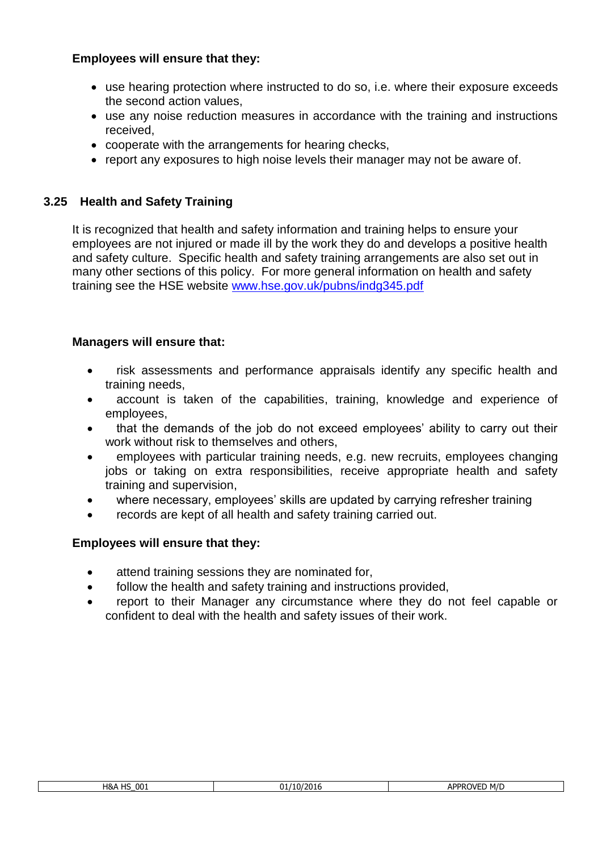- use hearing protection where instructed to do so, i.e. where their exposure exceeds the second action values,
- use any noise reduction measures in accordance with the training and instructions received,
- cooperate with the arrangements for hearing checks,
- report any exposures to high noise levels their manager may not be aware of.

## **3.25 Health and Safety Training**

It is recognized that health and safety information and training helps to ensure your employees are not injured or made ill by the work they do and develops a positive health and safety culture. Specific health and safety training arrangements are also set out in many other sections of this policy. For more general information on health and safety training see the HSE website [www.hse.gov.uk/pubns/indg345.pdf](http://www.hse.gov.uk/pubns/indg345.pdf)

## **Managers will ensure that:**

- risk assessments and performance appraisals identify any specific health and training needs,
- account is taken of the capabilities, training, knowledge and experience of employees,
- that the demands of the job do not exceed employees' ability to carry out their work without risk to themselves and others,
- employees with particular training needs, e.g. new recruits, employees changing jobs or taking on extra responsibilities, receive appropriate health and safety training and supervision,
- where necessary, employees' skills are updated by carrying refresher training
- records are kept of all health and safety training carried out.

- attend training sessions they are nominated for,
- follow the health and safety training and instructions provided,
- report to their Manager any circumstance where they do not feel capable or confident to deal with the health and safety issues of their work.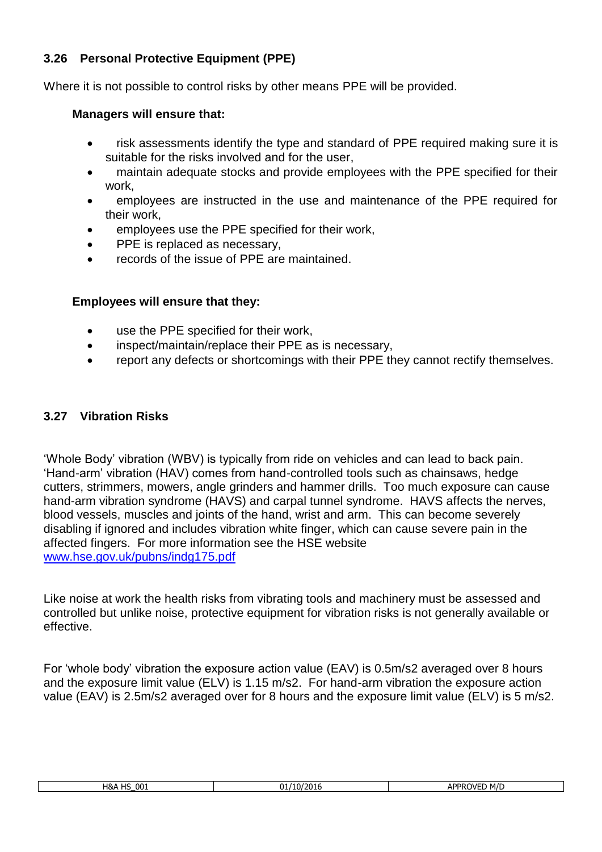# **3.26 Personal Protective Equipment (PPE)**

Where it is not possible to control risks by other means PPE will be provided.

## **Managers will ensure that:**

- risk assessments identify the type and standard of PPE required making sure it is suitable for the risks involved and for the user,
- maintain adequate stocks and provide employees with the PPE specified for their work,
- employees are instructed in the use and maintenance of the PPE required for their work,
- employees use the PPE specified for their work,
- PPE is replaced as necessary,
- records of the issue of PPE are maintained.

# **Employees will ensure that they:**

- use the PPE specified for their work,
- inspect/maintain/replace their PPE as is necessary,
- report any defects or shortcomings with their PPE they cannot rectify themselves.

# **3.27 Vibration Risks**

'Whole Body' vibration (WBV) is typically from ride on vehicles and can lead to back pain. 'Hand-arm' vibration (HAV) comes from hand-controlled tools such as chainsaws, hedge cutters, strimmers, mowers, angle grinders and hammer drills. Too much exposure can cause hand-arm vibration syndrome (HAVS) and carpal tunnel syndrome. HAVS affects the nerves, blood vessels, muscles and joints of the hand, wrist and arm. This can become severely disabling if ignored and includes vibration white finger, which can cause severe pain in the affected fingers. For more information see the HSE website [www.hse.gov.uk/pubns/indg175.pdf](http://www.hse.gov.uk/pubns/indg175.pdf)

Like noise at work the health risks from vibrating tools and machinery must be assessed and controlled but unlike noise, protective equipment for vibration risks is not generally available or effective.

For 'whole body' vibration the exposure action value (EAV) is 0.5m/s2 averaged over 8 hours and the exposure limit value (ELV) is 1.15 m/s2. For hand-arm vibration the exposure action value (EAV) is 2.5m/s2 averaged over for 8 hours and the exposure limit value (ELV) is 5 m/s2.

| 001<br>4&A<br>ШC<br>د ، | $\overline{\phantom{a}}$<br>- - -<br>01.<br>$\sim$<br>. IU/ZUID | M/D<br>APPROVE'<br>ור |
|-------------------------|-----------------------------------------------------------------|-----------------------|